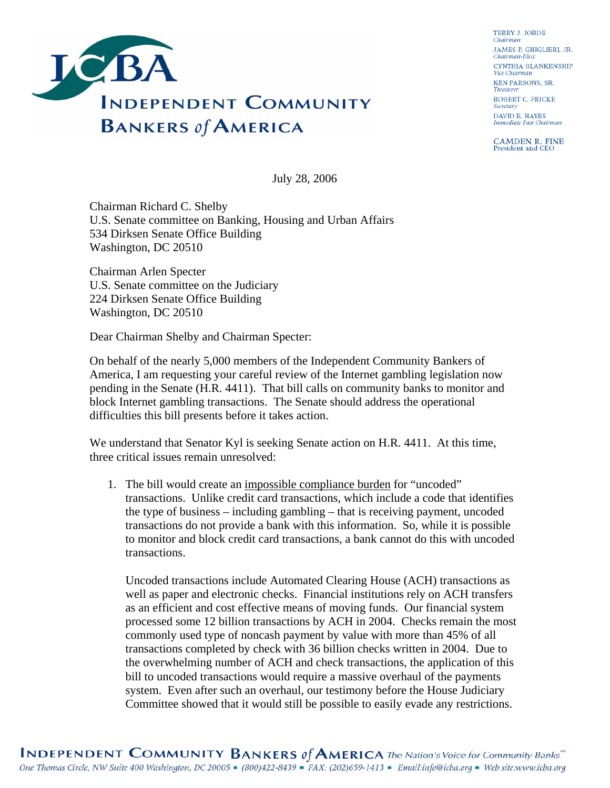

**TERRY J. JORDE** Chairman JAMES P. GHIGLIERI, JR. Chairman-Elect CYNTHIA BLANKENSHIP Vice Chairman **KEN PARSONS, SR.** Treasurer ROBERT C. FRICKE Secretary **DAVID E. HAYES** Immediate Past Chairman

**CAMDEN R. FINE**<br>President and CEO

July 28, 2006

Chairman Richard C. Shelby U.S. Senate committee on Banking, Housing and Urban Affairs 534 Dirksen Senate Office Building Washington, DC 20510

Chairman Arlen Specter U.S. Senate committee on the Judiciary 224 Dirksen Senate Office Building Washington, DC 20510

Dear Chairman Shelby and Chairman Specter:

On behalf of the nearly 5,000 members of the Independent Community Bankers of America, I am requesting your careful review of the Internet gambling legislation now pending in the Senate (H.R. 4411). That bill calls on community banks to monitor and block Internet gambling transactions. The Senate should address the operational difficulties this bill presents before it takes action.

We understand that Senator Kyl is seeking Senate action on H.R. 4411. At this time, three critical issues remain unresolved:

1. The bill would create an impossible compliance burden for "uncoded" transactions. Unlike credit card transactions, which include a code that identifies the type of business – including gambling – that is receiving payment, uncoded transactions do not provide a bank with this information. So, while it is possible to monitor and block credit card transactions, a bank cannot do this with uncoded transactions.

Uncoded transactions include Automated Clearing House (ACH) transactions as well as paper and electronic checks. Financial institutions rely on ACH transfers as an efficient and cost effective means of moving funds. Our financial system processed some 12 billion transactions by ACH in 2004. Checks remain the most commonly used type of noncash payment by value with more than 45% of all transactions completed by check with 36 billion checks written in 2004. Due to the overwhelming number of ACH and check transactions, the application of this bill to uncoded transactions would require a massive overhaul of the payments system. Even after such an overhaul, our testimony before the House Judiciary Committee showed that it would still be possible to easily evade any restrictions.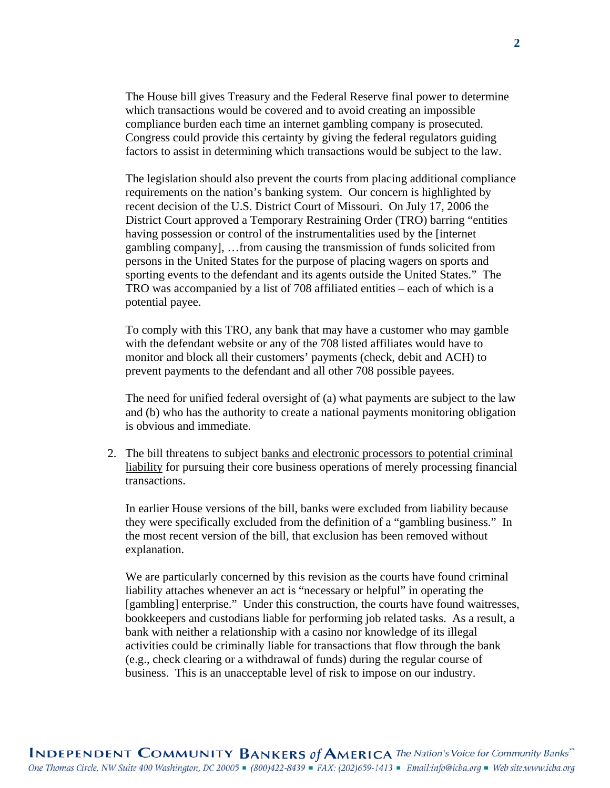The House bill gives Treasury and the Federal Reserve final power to determine which transactions would be covered and to avoid creating an impossible compliance burden each time an internet gambling company is prosecuted. Congress could provide this certainty by giving the federal regulators guiding factors to assist in determining which transactions would be subject to the law.

The legislation should also prevent the courts from placing additional compliance requirements on the nation's banking system. Our concern is highlighted by recent decision of the U.S. District Court of Missouri. On July 17, 2006 the District Court approved a Temporary Restraining Order (TRO) barring "entities having possession or control of the instrumentalities used by the [internet gambling company], …from causing the transmission of funds solicited from persons in the United States for the purpose of placing wagers on sports and sporting events to the defendant and its agents outside the United States." The TRO was accompanied by a list of 708 affiliated entities – each of which is a potential payee.

To comply with this TRO, any bank that may have a customer who may gamble with the defendant website or any of the 708 listed affiliates would have to monitor and block all their customers' payments (check, debit and ACH) to prevent payments to the defendant and all other 708 possible payees.

The need for unified federal oversight of (a) what payments are subject to the law and (b) who has the authority to create a national payments monitoring obligation is obvious and immediate.

2. The bill threatens to subject banks and electronic processors to potential criminal liability for pursuing their core business operations of merely processing financial transactions.

In earlier House versions of the bill, banks were excluded from liability because they were specifically excluded from the definition of a "gambling business." In the most recent version of the bill, that exclusion has been removed without explanation.

We are particularly concerned by this revision as the courts have found criminal liability attaches whenever an act is "necessary or helpful" in operating the [gambling] enterprise." Under this construction, the courts have found waitresses, bookkeepers and custodians liable for performing job related tasks. As a result, a bank with neither a relationship with a casino nor knowledge of its illegal activities could be criminally liable for transactions that flow through the bank (e.g., check clearing or a withdrawal of funds) during the regular course of business. This is an unacceptable level of risk to impose on our industry.